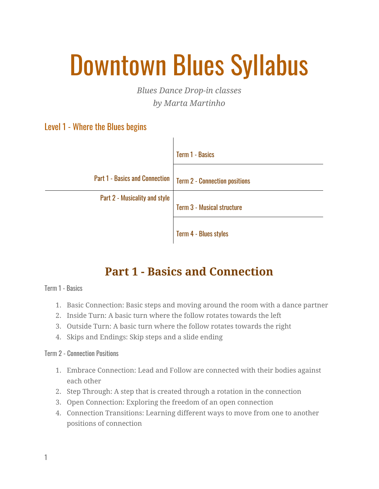# Downtown Blues Syllabus

*Blues Dance Drop-in classes by Marta Martinho*

### Level 1 - Where the Blues begins

|                                       | <b>Term 1 - Basics</b>                              |
|---------------------------------------|-----------------------------------------------------|
| <b>Part 1 - Basics and Connection</b> | <b>Term 2 - Connection positions</b>                |
| Part 2 - Musicality and style         | Term 3 - Musical structure<br>Term 4 - Blues styles |

 $\mathbf{I}$ 

## **Part 1 - Basics and Connection**

Term 1 - Basics

- 1. Basic Connection: Basic steps and moving around the room with a dance partner
- 2. Inside Turn: A basic turn where the follow rotates towards the left
- 3. Outside Turn: A basic turn where the follow rotates towards the right
- 4. Skips and Endings: Skip steps and a slide ending

#### Term 2 - Connection Positions

- 1. Embrace Connection: Lead and Follow are connected with their bodies against each other
- 2. Step Through: A step that is created through a rotation in the connection
- 3. Open Connection: Exploring the freedom of an open connection
- 4. Connection Transitions: Learning different ways to move from one to another positions of connection